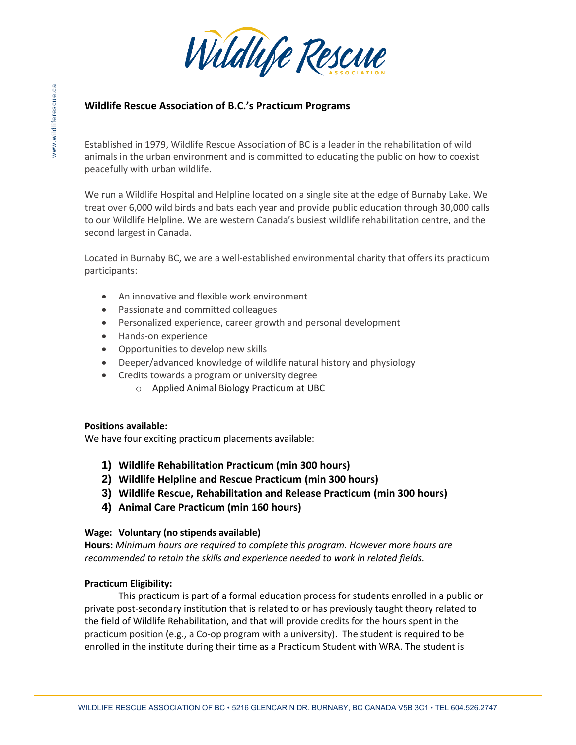

# **Wildlife Rescue Association of B.C.'s Practicum Programs**

Established in 1979, Wildlife Rescue Association of BC is a leader in the rehabilitation of wild animals in the urban environment and is committed to educating the public on how to coexist peacefully with urban wildlife.

We run a Wildlife Hospital and Helpline located on a single site at the edge of Burnaby Lake. We treat over 6,000 wild birds and bats each year and provide public education through 30,000 calls to our Wildlife Helpline. We are western Canada's busiest wildlife rehabilitation centre, and the second largest in Canada.

Located in Burnaby BC, we are a well-established environmental charity that offers its practicum participants:

- An innovative and flexible work environment
- Passionate and committed colleagues
- Personalized experience, career growth and personal development
- Hands-on experience
- Opportunities to develop new skills
- Deeper/advanced knowledge of wildlife natural history and physiology
- Credits towards a program or university degree
	- o Applied Animal Biology Practicum at UBC

## **Positions available:**

We have four exciting practicum placements available:

- **1) Wildlife Rehabilitation Practicum (min 300 hours)**
- **2) Wildlife Helpline and Rescue Practicum (min 300 hours)**
- **3) Wildlife Rescue, Rehabilitation and Release Practicum (min 300 hours)**
- **4) Animal Care Practicum (min 160 hours)**

## **Wage: Voluntary (no stipends available)**

**Hours:** *Minimum hours are required to complete this program. However more hours are recommended to retain the skills and experience needed to work in related fields.* 

## **Practicum Eligibility:**

This practicum is part of a formal education process for students enrolled in a public or private post-secondary institution that is related to or has previously taught theory related to the field of Wildlife Rehabilitation, and that will provide credits for the hours spent in the practicum position (e.g., a Co-op program with a university). The student is required to be enrolled in the institute during their time as a Practicum Student with WRA. The student is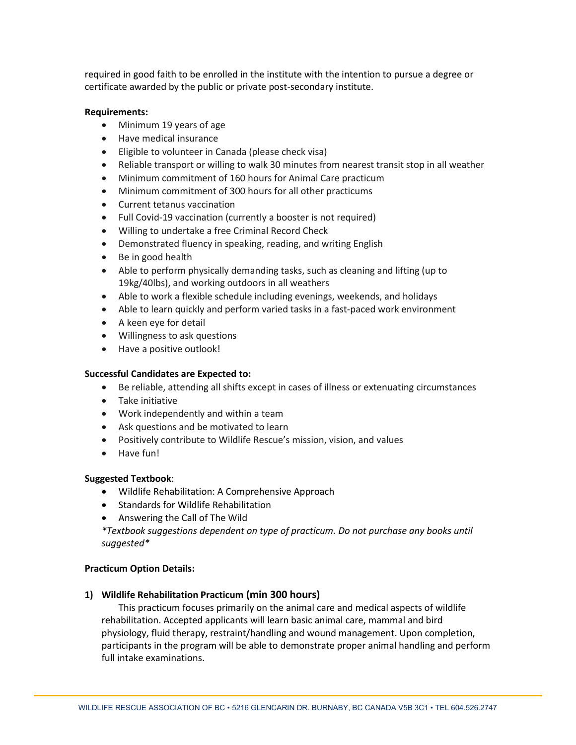required in good faith to be enrolled in the institute with the intention to pursue a degree or certificate awarded by the public or private post-secondary institute.

#### **Requirements:**

- Minimum 19 years of age
- Have medical insurance
- Eligible to volunteer in Canada (please check visa)
- Reliable transport or willing to walk 30 minutes from nearest transit stop in all weather
- Minimum commitment of 160 hours for Animal Care practicum
- Minimum commitment of 300 hours for all other practicums
- Current tetanus vaccination
- Full Covid-19 vaccination (currently a booster is not required)
- Willing to undertake a free Criminal Record Check
- Demonstrated fluency in speaking, reading, and writing English
- Be in good health
- Able to perform physically demanding tasks, such as cleaning and lifting (up to 19kg/40lbs), and working outdoors in all weathers
- Able to work a flexible schedule including evenings, weekends, and holidays
- Able to learn quickly and perform varied tasks in a fast-paced work environment
- A keen eye for detail
- Willingness to ask questions
- Have a positive outlook!

### **Successful Candidates are Expected to:**

- Be reliable, attending all shifts except in cases of illness or extenuating circumstances
- Take initiative
- Work independently and within a team
- Ask questions and be motivated to learn
- Positively contribute to Wildlife Rescue's mission, vision, and values
- Have fun!

### **Suggested Textbook**:

- Wildlife Rehabilitation: A Comprehensive Approach
- Standards for Wildlife Rehabilitation
- Answering the Call of The Wild

*\*Textbook suggestions dependent on type of practicum. Do not purchase any books until suggested\** 

### **Practicum Option Details:**

## **1) Wildlife Rehabilitation Practicum (min 300 hours)**

This practicum focuses primarily on the animal care and medical aspects of wildlife rehabilitation. Accepted applicants will learn basic animal care, mammal and bird physiology, fluid therapy, restraint/handling and wound management. Upon completion, participants in the program will be able to demonstrate proper animal handling and perform full intake examinations.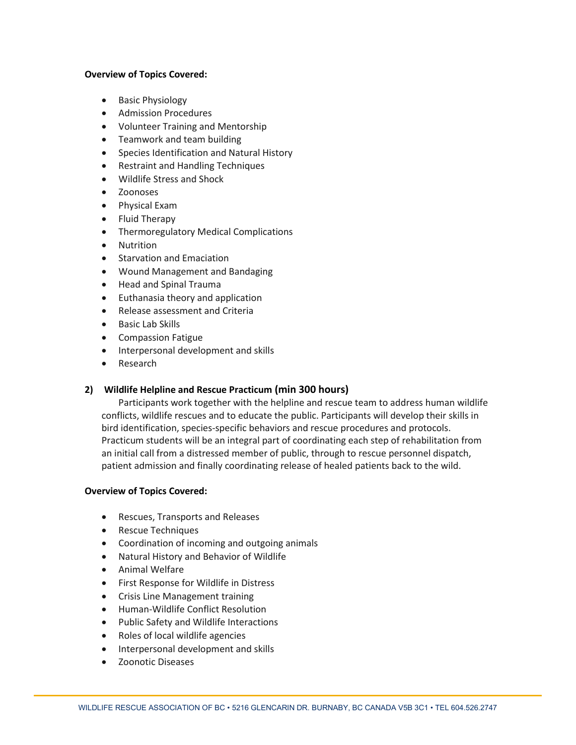### **Overview of Topics Covered:**

- Basic Physiology
- Admission Procedures
- Volunteer Training and Mentorship
- Teamwork and team building
- Species Identification and Natural History
- Restraint and Handling Techniques
- Wildlife Stress and Shock
- Zoonoses
- Physical Exam
- Fluid Therapy
- Thermoregulatory Medical Complications
- Nutrition
- Starvation and Emaciation
- Wound Management and Bandaging
- Head and Spinal Trauma
- Euthanasia theory and application
- Release assessment and Criteria
- Basic Lab Skills
- Compassion Fatigue
- Interpersonal development and skills
- **Research**

### **2) Wildlife Helpline and Rescue Practicum (min 300 hours)**

Participants work together with the helpline and rescue team to address human wildlife conflicts, wildlife rescues and to educate the public. Participants will develop their skills in bird identification, species-specific behaviors and rescue procedures and protocols. Practicum students will be an integral part of coordinating each step of rehabilitation from an initial call from a distressed member of public, through to rescue personnel dispatch, patient admission and finally coordinating release of healed patients back to the wild.

### **Overview of Topics Covered:**

- Rescues, Transports and Releases
- Rescue Techniques
- Coordination of incoming and outgoing animals
- Natural History and Behavior of Wildlife
- Animal Welfare
- First Response for Wildlife in Distress
- Crisis Line Management training
- Human-Wildlife Conflict Resolution
- Public Safety and Wildlife Interactions
- Roles of local wildlife agencies
- Interpersonal development and skills
- Zoonotic Diseases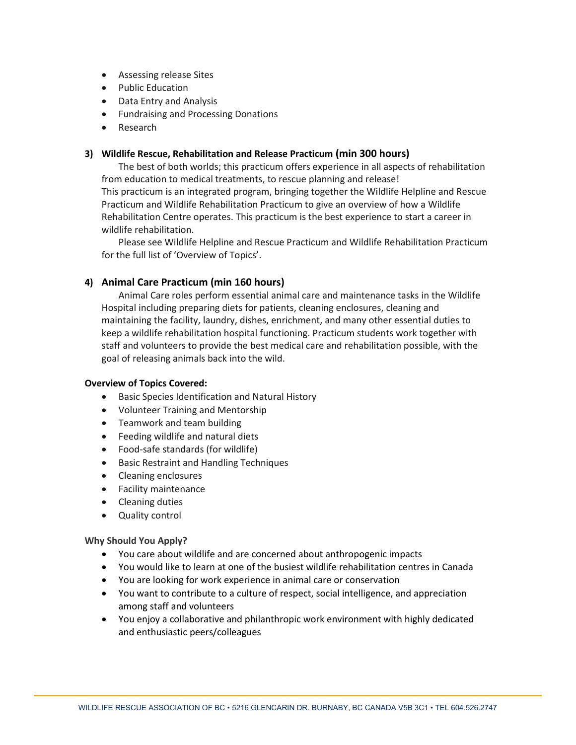- Assessing release Sites
- Public Education
- Data Entry and Analysis
- Fundraising and Processing Donations
- Research

### **3) Wildlife Rescue, Rehabilitation and Release Practicum (min 300 hours)**

The best of both worlds; this practicum offers experience in all aspects of rehabilitation from education to medical treatments, to rescue planning and release!

This practicum is an integrated program, bringing together the Wildlife Helpline and Rescue Practicum and Wildlife Rehabilitation Practicum to give an overview of how a Wildlife Rehabilitation Centre operates. This practicum is the best experience to start a career in wildlife rehabilitation.

Please see Wildlife Helpline and Rescue Practicum and Wildlife Rehabilitation Practicum for the full list of 'Overview of Topics'.

### **4) Animal Care Practicum (min 160 hours)**

Animal Care roles perform essential animal care and maintenance tasks in the Wildlife Hospital including preparing diets for patients, cleaning enclosures, cleaning and maintaining the facility, laundry, dishes, enrichment, and many other essential duties to keep a wildlife rehabilitation hospital functioning. Practicum students work together with staff and volunteers to provide the best medical care and rehabilitation possible, with the goal of releasing animals back into the wild.

### **Overview of Topics Covered:**

- Basic Species Identification and Natural History
- Volunteer Training and Mentorship
- Teamwork and team building
- Feeding wildlife and natural diets
- Food-safe standards (for wildlife)
- Basic Restraint and Handling Techniques
- Cleaning enclosures
- Facility maintenance
- Cleaning duties
- Quality control

#### **Why Should You Apply?**

- You care about wildlife and are concerned about anthropogenic impacts
- You would like to learn at one of the busiest wildlife rehabilitation centres in Canada
- You are looking for work experience in animal care or conservation
- You want to contribute to a culture of respect, social intelligence, and appreciation among staff and volunteers
- You enjoy a collaborative and philanthropic work environment with highly dedicated and enthusiastic peers/colleagues